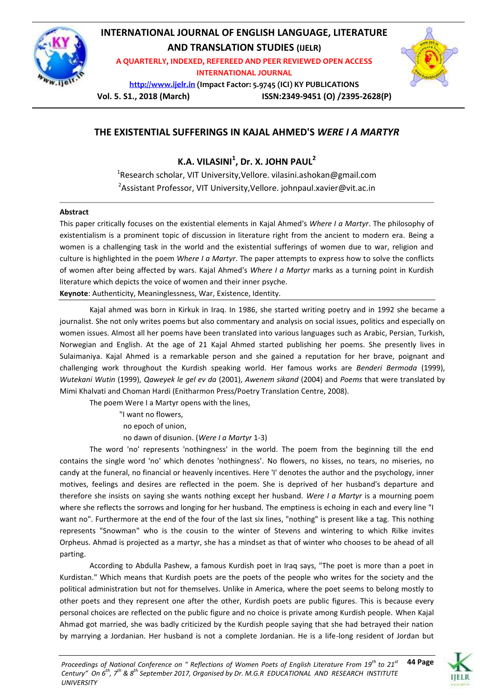

## **INTERNATIONAL JOURNAL OF ENGLISH LANGUAGE, LITERATURE AND TRANSLATION STUDIES (IJELR)**

**A QUARTERLY, INDEXED, REFEREED AND PEER REVIEWED OPEN ACCESS INTERNATIONAL JOURNAL**

**[http://www.ijelr.in](http://www.ijelr.in/) (Impact Factor: 5.9745 (ICI) KY PUBLICATIONS**



**Vol. 5. S1., 2018 (March) ISSN:2349-9451 (O) /2395-2628(P)**

## **THE EXISTENTIAL SUFFERINGS IN KAJAL AHMED'S** *WERE I A MARTYR*

**K.A. VILASINI<sup>1</sup> , Dr. X. JOHN PAUL<sup>2</sup>**

<sup>1</sup>Research scholar, VIT University,Vellore. vilasini.ashokan@gmail.com <sup>2</sup>Assistant Professor, VIT University,Vellore. johnpaul.xavier@vit.ac.in

## **Abstract**

This paper critically focuses on the existential elements in Kajal Ahmed's *Where I a Martyr*. The philosophy of existentialism is a prominent topic of discussion in literature right from the ancient to modern era. Being a women is a challenging task in the world and the existential sufferings of women due to war, religion and culture is highlighted in the poem *Where I a Martyr*. The paper attempts to express how to solve the conflicts of women after being affected by wars. Kajal Ahmed's *Where I a Martyr* marks as a turning point in Kurdish literature which depicts the voice of women and their inner psyche.

**Keynote**: Authenticity, Meaninglessness, War, Existence, Identity.

Kajal ahmed was born in Kirkuk in Iraq. In 1986, she started writing poetry and in 1992 she became a journalist. She not only writes poems but also commentary and analysis on social issues, politics and especially on women issues. Almost all her poems have been translated into various languages such as Arabic, Persian, Turkish, Norwegian and English. At the age of 21 Kajal Ahmed started publishing her poems. She presently lives in Sulaimaniya. Kajal Ahmed is a remarkable person and she gained a reputation for her brave, poignant and challenging work throughout the Kurdish speaking world. Her famous works are *Benderi Bermoda* (1999), *Wutekani Wutin* (1999), *Qaweyek le gel ev da* (2001), *Awenem sikand* (2004) and *Poems* that were translated by Mimi Khalvati and Choman Hardi (Enitharmon Press/Poetry Translation Centre, 2008).

The poem Were I a Martyr opens with the lines,

"I want no flowers,

no epoch of union,

no dawn of disunion. (*Were I a Martyr* 1-3)

The word 'no' represents 'nothingness' in the world. The poem from the beginning till the end contains the single word 'no' which denotes 'nothingness'. No flowers, no kisses, no tears, no miseries, no candy at the funeral, no financial or heavenly incentives. Here 'I' denotes the author and the psychology, inner motives, feelings and desires are reflected in the poem. She is deprived of her husband's departure and therefore she insists on saying she wants nothing except her husband. *Were I a Martyr* is a mourning poem where she reflects the sorrows and longing for her husband. The emptiness is echoing in each and every line "I want no". Furthermore at the end of the four of the last six lines, "nothing" is present like a tag. This nothing represents "Snowman" who is the cousin to the winter of Stevens and wintering to which Rilke invites Orpheus. Ahmad is projected as a martyr, she has a mindset as that of winter who chooses to be ahead of all parting.

According to Abdulla Pashew, a famous Kurdish poet in Iraq says, "The poet is more than a poet in Kurdistan." Which means that Kurdish poets are the poets of the people who writes for the society and the political administration but not for themselves. Unlike in America, where the poet seems to belong mostly to other poets and they represent one after the other, Kurdish poets are public figures. This is because every personal choices are reflected on the public figure and no choice is private among Kurdish people. When Kajal Ahmad got married, she was badly criticized by the Kurdish people saying that she had betrayed their nation by marrying a Jordanian. Her husband is not a complete Jordanian. He is a life-long resident of Jordan but

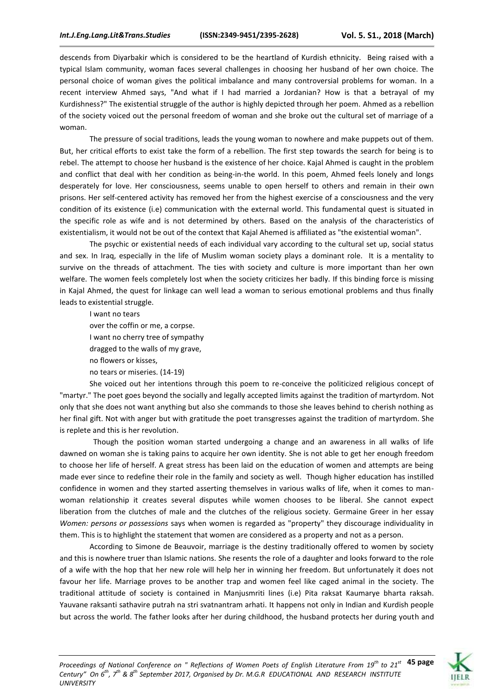descends from Diyarbakir which is considered to be the heartland of Kurdish ethnicity. Being raised with a typical Islam community, woman faces several challenges in choosing her husband of her own choice. The personal choice of woman gives the political imbalance and many controversial problems for woman. In a recent interview Ahmed says, "And what if I had married a Jordanian? How is that a betrayal of my Kurdishness?" The existential struggle of the author is highly depicted through her poem. Ahmed as a rebellion of the society voiced out the personal freedom of woman and she broke out the cultural set of marriage of a woman.

The pressure of social traditions, leads the young woman to nowhere and make puppets out of them. But, her critical efforts to exist take the form of a rebellion. The first step towards the search for being is to rebel. The attempt to choose her husband is the existence of her choice. Kajal Ahmed is caught in the problem and conflict that deal with her condition as being-in-the world. In this poem, Ahmed feels lonely and longs desperately for love. Her consciousness, seems unable to open herself to others and remain in their own prisons. Her self-centered activity has removed her from the highest exercise of a consciousness and the very condition of its existence (i.e) communication with the external world. This fundamental quest is situated in the specific role as wife and is not determined by others. Based on the analysis of the characteristics of existentialism, it would not be out of the context that Kajal Ahemed is affiliated as "the existential woman".

The psychic or existential needs of each individual vary according to the cultural set up, social status and sex. In Iraq, especially in the life of Muslim woman society plays a dominant role. It is a mentality to survive on the threads of attachment. The ties with society and culture is more important than her own welfare. The women feels completely lost when the society criticizes her badly. If this binding force is missing in Kajal Ahmed, the quest for linkage can well lead a woman to serious emotional problems and thus finally leads to existential struggle.

I want no tears over the coffin or me, a corpse. I want no cherry tree of sympathy dragged to the walls of my grave, no flowers or kisses, no tears or miseries. (14-19)

She voiced out her intentions through this poem to re-conceive the politicized religious concept of "martyr." The poet goes beyond the socially and legally accepted limits against the tradition of martyrdom. Not only that she does not want anything but also she commands to those she leaves behind to cherish nothing as her final gift. Not with anger but with gratitude the poet transgresses against the tradition of martyrdom. She is replete and this is her revolution.

Though the position woman started undergoing a change and an awareness in all walks of life dawned on woman she is taking pains to acquire her own identity. She is not able to get her enough freedom to choose her life of herself. A great stress has been laid on the education of women and attempts are being made ever since to redefine their role in the family and society as well. Though higher education has instilled confidence in women and they started asserting themselves in various walks of life, when it comes to manwoman relationship it creates several disputes while women chooses to be liberal. She cannot expect liberation from the clutches of male and the clutches of the religious society. Germaine Greer in her essay *Women: persons or possessions* says when women is regarded as "property" they discourage individuality in them. This is to highlight the statement that women are considered as a property and not as a person.

According to Simone de Beauvoir, marriage is the destiny traditionally offered to women by society and this is nowhere truer than Islamic nations. She resents the role of a daughter and looks forward to the role of a wife with the hop that her new role will help her in winning her freedom. But unfortunately it does not favour her life. Marriage proves to be another trap and women feel like caged animal in the society. The traditional attitude of society is contained in Manjusmriti lines (i.e) Pita raksat Kaumarye bharta raksah. Yauvane raksanti sathavire putrah na stri svatnantram arhati. It happens not only in Indian and Kurdish people but across the world. The father looks after her during childhood, the husband protects her during youth and